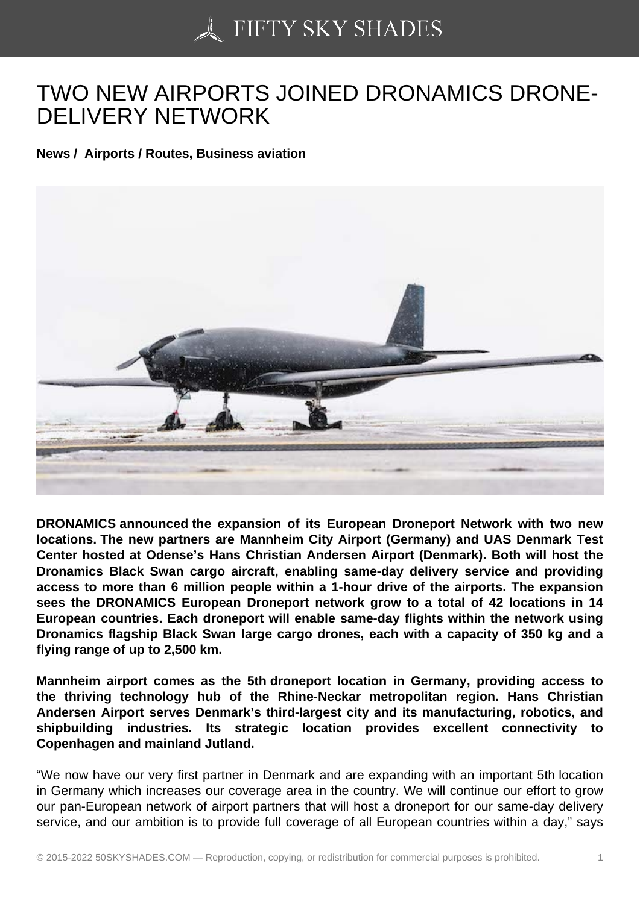## [TWO NEW AIRPORTS](https://50skyshades.com) JOINED DRONAMICS DRONE-DELIVERY NETWORK

News / Airports / Routes, Business aviation

DRONAMICS announced the expansion of its European Droneport Network with two new locations. The new partners are Mannheim City Airport (Germany) and UAS Denmark Test Center hosted at Odense's Hans Christian Andersen Airport (Denmark). Both will host the Dronamics Black Swan cargo aircraft, enabling same-day delivery service and providing access to more than 6 million people within a 1-hour drive of the airports. The expansion sees the DRONAMICS European Droneport network grow to a total of 42 locations in 14 European countries. Each droneport will enable same-day flights within the network using Dronamics flagship Black Swan large cargo drones, each with a capacity of 350 kg and a flying range of up to 2,500 km.

Mannheim airport comes as the 5th droneport location in Germany, providing access to the thriving technology hub of the Rhine-Neckar metropolitan region. Hans Christian Andersen Airport serves Denmark's third-largest city and its manufacturing, robotics, and shipbuilding industries. Its strategic location provides excellent connectivity to Copenhagen and mainland Jutland.

"We now have our very first partner in Denmark and are expanding with an important 5th location in Germany which increases our coverage area in the country. We will continue our effort to grow our pan-European network of airport partners that will host a droneport for our same-day delivery service, and our ambition is to provide full coverage of all European countries within a day," says